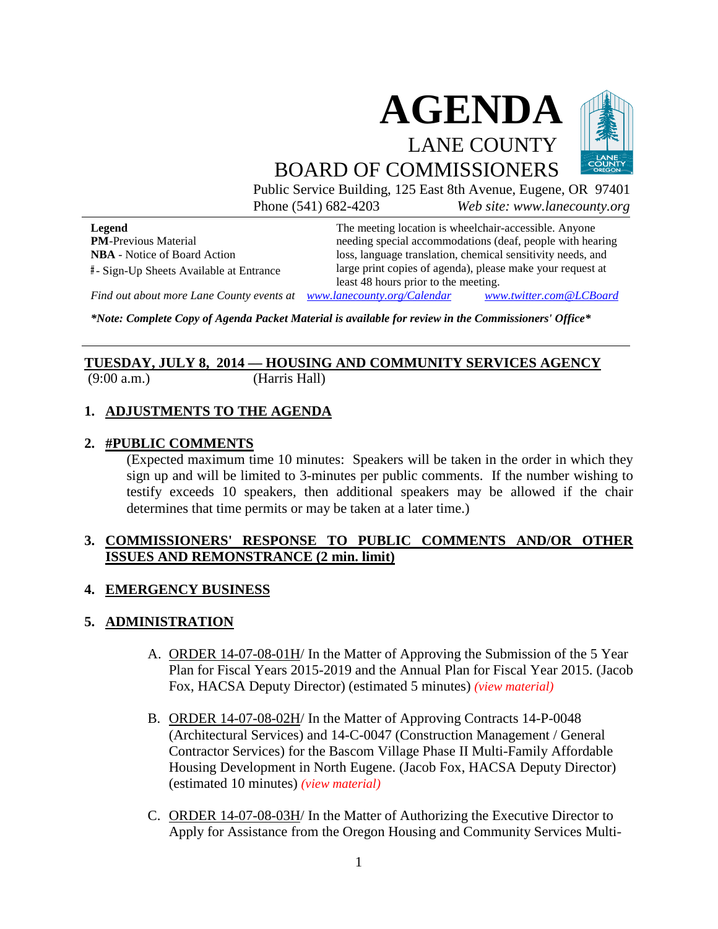

Public Service Building, 125 East 8th Avenue, Eugene, OR 97401 Phone (541) 682-4203 *Web site: www.lanecounty.org*

**Legend PM**-Previous Material **NBA** - Notice of Board Action **#** - Sign-Up Sheets Available at Entrance The meeting location is wheelchair-accessible. Anyone needing special accommodations (deaf, people with hearing loss, language translation, chemical sensitivity needs, and large print copies of agenda), please make your request at least 48 hours prior to the meeting.

*Find out about more Lane County events at [www.lanecounty.org/Calendar](http://www.lanecounty.org/Calendar) [www.twitter.com@LCBoard](http://www.twitter.com@lcboard/)*

*\*Note: Complete Copy of Agenda Packet Material is available for review in the Commissioners' Office\**

#### **TUESDAY, JULY 8, 2014 –– HOUSING AND COMMUNITY SERVICES AGENCY** (9:00 a.m.) (Harris Hall)

## **2. #PUBLIC COMMENTS**

**1. ADJUSTMENTS TO THE AGENDA**

(Expected maximum time 10 minutes: Speakers will be taken in the order in which they sign up and will be limited to 3-minutes per public comments. If the number wishing to testify exceeds 10 speakers, then additional speakers may be allowed if the chair determines that time permits or may be taken at a later time.)

#### **3. COMMISSIONERS' RESPONSE TO PUBLIC COMMENTS AND/OR OTHER ISSUES AND REMONSTRANCE (2 min. limit)**

#### **4. EMERGENCY BUSINESS**

#### **5. ADMINISTRATION**

- A. ORDER 14-07-08-01H/ In the Matter of Approving the Submission of the 5 Year Plan for Fiscal Years 2015-2019 and the Annual Plan for Fiscal Year 2015. (Jacob Fox, HACSA Deputy Director) (estimated 5 minutes) *[\(view material\)](http://www.lanecounty.org/UserFiles/Servers/Server_3585797/File/Government/BCC/2014/2014_AGENDAS/070814agenda/T.5.AH.pdf)*
- B. ORDER 14-07-08-02H/ In the Matter of Approving Contracts 14-P-0048 (Architectural Services) and 14-C-0047 (Construction Management / General Contractor Services) for the Bascom Village Phase II Multi-Family Affordable Housing Development in North Eugene. (Jacob Fox, HACSA Deputy Director) (estimated 10 minutes) *[\(view material\)](http://www.lanecounty.org/UserFiles/Servers/Server_3585797/File/Government/BCC/2014/2014_AGENDAS/070814agenda/T.5.BH.pdf)*
- C. ORDER 14-07-08-03H/ In the Matter of Authorizing the Executive Director to Apply for Assistance from the Oregon Housing and Community Services Multi-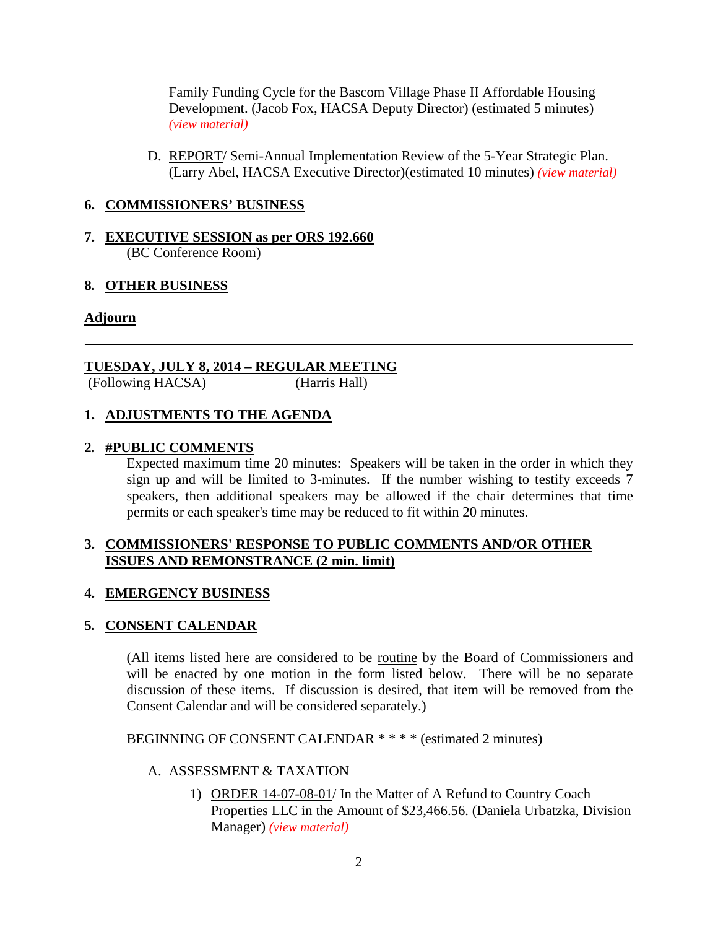Family Funding Cycle for the Bascom Village Phase II Affordable Housing Development. (Jacob Fox, HACSA Deputy Director) (estimated 5 minutes) *[\(view material\)](http://www.lanecounty.org/UserFiles/Servers/Server_3585797/File/Government/BCC/2014/2014_AGENDAS/070814agenda/T.5.CH.pdf)*

D. REPORT/ Semi-Annual Implementation Review of the 5-Year Strategic Plan. (Larry Abel, HACSA Executive Director)(estimated 10 minutes) *[\(view material\)](http://www.lanecounty.org/UserFiles/Servers/Server_3585797/File/Government/BCC/2014/2014_AGENDAS/070814agenda/T.5.DH.pdf)*

#### **6. COMMISSIONERS' BUSINESS**

#### **7. EXECUTIVE SESSION as per ORS 192.660**  (BC Conference Room)

#### **8. OTHER BUSINESS**

#### **Adjourn**

### **TUESDAY, JULY 8, 2014 – REGULAR MEETING**

(Following HACSA) (Harris Hall)

#### **1. ADJUSTMENTS TO THE AGENDA**

#### **2. #PUBLIC COMMENTS**

Expected maximum time 20 minutes: Speakers will be taken in the order in which they sign up and will be limited to 3-minutes. If the number wishing to testify exceeds 7 speakers, then additional speakers may be allowed if the chair determines that time permits or each speaker's time may be reduced to fit within 20 minutes.

#### **3. COMMISSIONERS' RESPONSE TO PUBLIC COMMENTS AND/OR OTHER ISSUES AND REMONSTRANCE (2 min. limit)**

#### **4. EMERGENCY BUSINESS**

#### **5. CONSENT CALENDAR**

(All items listed here are considered to be routine by the Board of Commissioners and will be enacted by one motion in the form listed below. There will be no separate discussion of these items. If discussion is desired, that item will be removed from the Consent Calendar and will be considered separately.)

BEGINNING OF CONSENT CALENDAR \* \* \* \* (estimated 2 minutes)

#### A. ASSESSMENT & TAXATION

1) ORDER 14-07-08-01/ In the Matter of A Refund to Country Coach Properties LLC in the Amount of \$23,466.56. (Daniela Urbatzka, Division Manager) *[\(view material\)](http://www.lanecounty.org/UserFiles/Servers/Server_3585797/File/Government/BCC/2014/2014_AGENDAS/070814agenda/T.5.A.1.pdf)*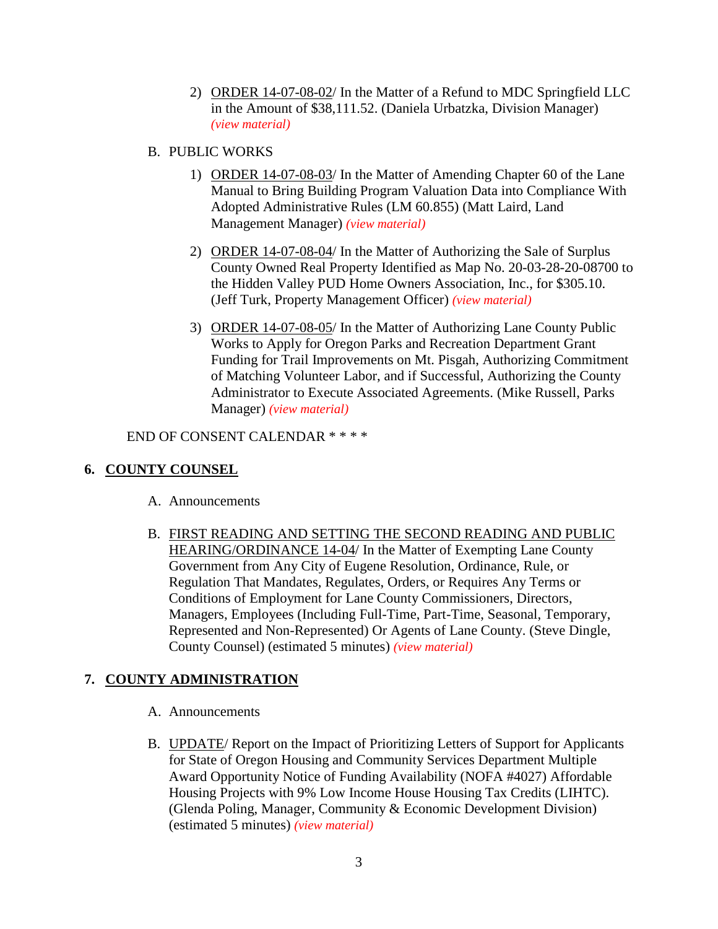- 2) ORDER 14-07-08-02/ In the Matter of a Refund to MDC Springfield LLC in the Amount of \$38,111.52. (Daniela Urbatzka, Division Manager) *[\(view material\)](http://www.lanecounty.org/UserFiles/Servers/Server_3585797/File/Government/BCC/2014/2014_AGENDAS/070814agenda/T.5.A.2.pdf)*
- B. PUBLIC WORKS
	- 1) ORDER 14-07-08-03/ In the Matter of Amending Chapter 60 of the Lane Manual to Bring Building Program Valuation Data into Compliance With Adopted Administrative Rules (LM 60.855) (Matt Laird, Land Management Manager) *[\(view material\)](http://www.lanecounty.org/UserFiles/Servers/Server_3585797/File/Government/BCC/2014/2014_AGENDAS/070814agenda/T.5.B.1.pdf)*
	- 2) ORDER 14-07-08-04/ In the Matter of Authorizing the Sale of Surplus County Owned Real Property Identified as Map No. 20-03-28-20-08700 to the Hidden Valley PUD Home Owners Association, Inc., for \$305.10. (Jeff Turk, Property Management Officer) *[\(view material\)](http://www.lanecounty.org/UserFiles/Servers/Server_3585797/File/Government/BCC/2014/2014_AGENDAS/070814agenda/T.5.B.2.pdf)*
	- 3) ORDER 14-07-08-05/ In the Matter of Authorizing Lane County Public Works to Apply for Oregon Parks and Recreation Department Grant Funding for Trail Improvements on Mt. Pisgah, Authorizing Commitment of Matching Volunteer Labor, and if Successful, Authorizing the County Administrator to Execute Associated Agreements. (Mike Russell, Parks Manager) *[\(view material\)](http://www.lanecounty.org/UserFiles/Servers/Server_3585797/File/Government/BCC/2014/2014_AGENDAS/070814agenda/T.5.B.3.pdf)*

END OF CONSENT CALENDAR \* \* \* \*

#### **6. COUNTY COUNSEL**

- A. Announcements
- B. FIRST READING AND SETTING THE SECOND READING AND PUBLIC HEARING/ORDINANCE 14-04/ In the Matter of Exempting Lane County Government from Any City of Eugene Resolution, Ordinance, Rule, or Regulation That Mandates, Regulates, Orders, or Requires Any Terms or Conditions of Employment for Lane County Commissioners, Directors, Managers, Employees (Including Full-Time, Part-Time, Seasonal, Temporary, Represented and Non-Represented) Or Agents of Lane County. (Steve Dingle, County Counsel) (estimated 5 minutes) *[\(view material\)](http://www.lanecounty.org/UserFiles/Servers/Server_3585797/File/Government/BCC/2014/2014_AGENDAS/070814agenda/T.6.B.pdf)*

#### **7. COUNTY ADMINISTRATION**

- A. Announcements
- B. UPDATE/ Report on the Impact of Prioritizing Letters of Support for Applicants for State of Oregon Housing and Community Services Department Multiple Award Opportunity Notice of Funding Availability (NOFA #4027) Affordable Housing Projects with 9% Low Income House Housing Tax Credits (LIHTC). (Glenda Poling, Manager, Community & Economic Development Division) (estimated 5 minutes) *[\(view material\)](http://www.lanecounty.org/UserFiles/Servers/Server_3585797/File/Government/BCC/2014/2014_AGENDAS/070814agenda/T.7.B.pdf)*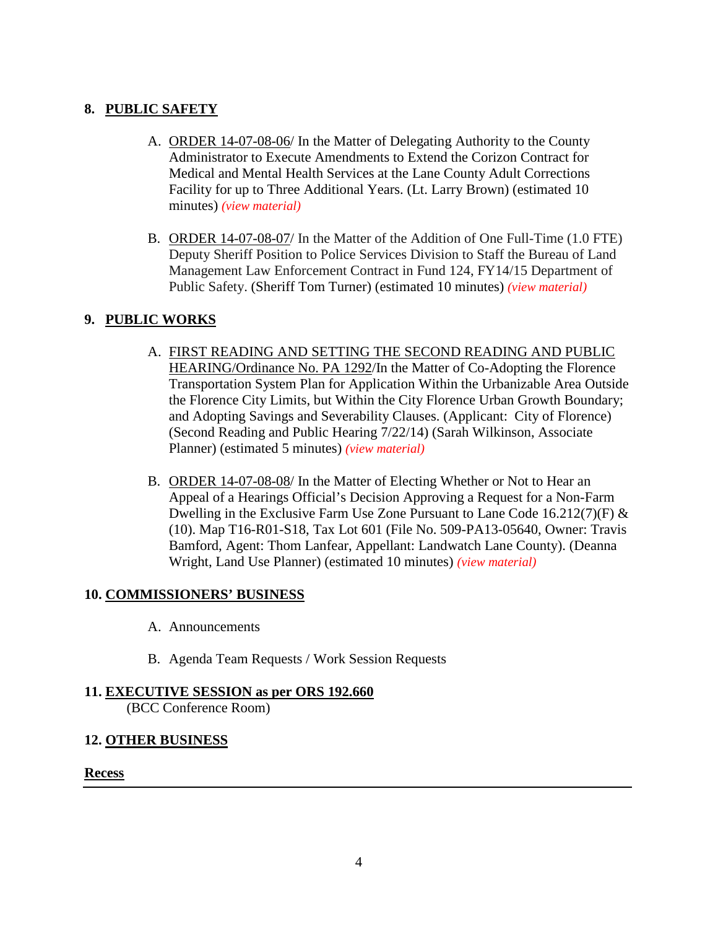#### **8. PUBLIC SAFETY**

- A. ORDER 14-07-08-06/ In the Matter of Delegating Authority to the County Administrator to Execute Amendments to Extend the Corizon Contract for Medical and Mental Health Services at the Lane County Adult Corrections Facility for up to Three Additional Years. (Lt. Larry Brown) (estimated 10 minutes) *[\(view material\)](http://www.lanecounty.org/UserFiles/Servers/Server_3585797/File/Government/BCC/2014/2014_AGENDAS/070814agenda/T.8.A.pdf)*
- B. ORDER 14-07-08-07/ In the Matter of the Addition of One Full-Time (1.0 FTE) Deputy Sheriff Position to Police Services Division to Staff the Bureau of Land Management Law Enforcement Contract in Fund 124, FY14/15 Department of Public Safety. (Sheriff Tom Turner) (estimated 10 minutes) *[\(view material\)](http://www.lanecounty.org/UserFiles/Servers/Server_3585797/File/Government/BCC/2014/2014_AGENDAS/070814agenda/T.8.B.pdf)*

#### **9. PUBLIC WORKS**

- A. FIRST READING AND SETTING THE SECOND READING AND PUBLIC HEARING/Ordinance No. PA 1292/In the Matter of Co-Adopting the Florence Transportation System Plan for Application Within the Urbanizable Area Outside the Florence City Limits, but Within the City Florence Urban Growth Boundary; and Adopting Savings and Severability Clauses. (Applicant: City of Florence) (Second Reading and Public Hearing 7/22/14) (Sarah Wilkinson, Associate Planner) (estimated 5 minutes) *[\(view material\)](http://www.lanecounty.org/UserFiles/Servers/Server_3585797/File/Government/BCC/2014/2014_AGENDAS/070814agenda/T.9.A.pdf)*
- B. ORDER 14-07-08-08/ In the Matter of Electing Whether or Not to Hear an Appeal of a Hearings Official's Decision Approving a Request for a Non-Farm Dwelling in the Exclusive Farm Use Zone Pursuant to Lane Code 16.212(7)(F) & (10). Map T16-R01-S18, Tax Lot 601 (File No. 509-PA13-05640, Owner: Travis Bamford, Agent: Thom Lanfear, Appellant: Landwatch Lane County). (Deanna Wright, Land Use Planner) (estimated 10 minutes) *[\(view material\)](http://www.lanecounty.org/UserFiles/Servers/Server_3585797/File/Government/BCC/2014/2014_AGENDAS/070814agenda/T.9.B.pdf)*

#### **10. COMMISSIONERS' BUSINESS**

- A. Announcements
- B. Agenda Team Requests / Work Session Requests

# **11. EXECUTIVE SESSION as per ORS 192.660**

(BCC Conference Room)

#### **12. OTHER BUSINESS**

#### **Recess**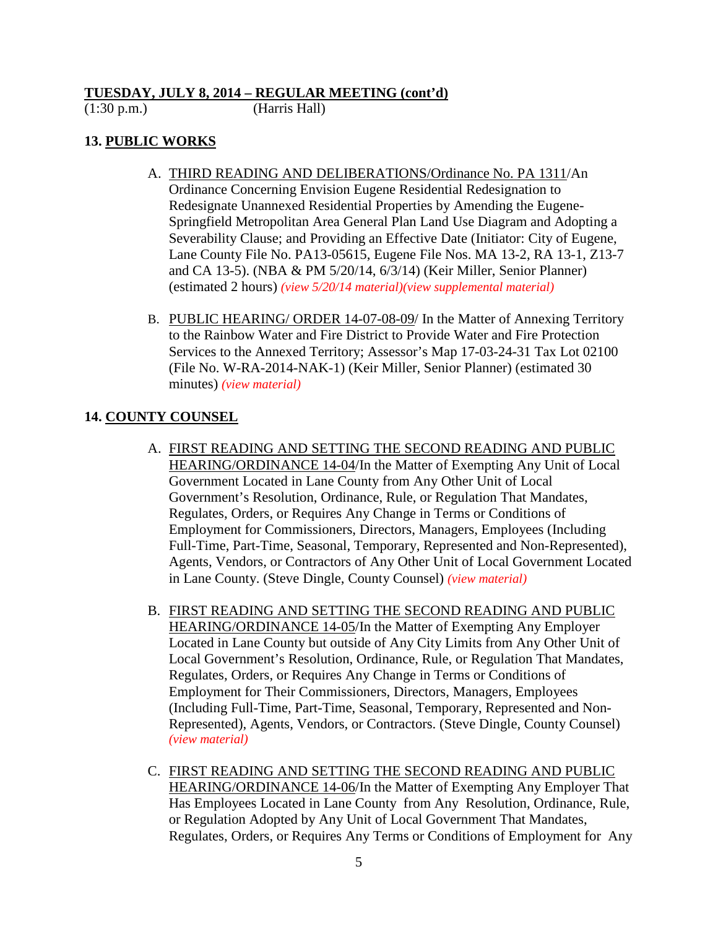#### **TUESDAY, JULY 8, 2014 – REGULAR MEETING (cont'd)**

#### (1:30 p.m.) (Harris Hall)

#### **13. PUBLIC WORKS**

- A. THIRD READING AND DELIBERATIONS/Ordinance No. PA 1311/An Ordinance Concerning Envision Eugene Residential Redesignation to Redesignate Unannexed Residential Properties by Amending the Eugene-Springfield Metropolitan Area General Plan Land Use Diagram and Adopting a Severability Clause; and Providing an Effective Date (Initiator: City of Eugene, Lane County File No. PA13-05615, Eugene File Nos. MA 13-2, RA 13-1, Z13-7 and CA 13-5). (NBA & PM 5/20/14, 6/3/14) (Keir Miller, Senior Planner) (estimated 2 hours) *[\(view 5/20/14 material\)](http://www.lanecounty.org/UserFiles/Servers/Server_3585797/File/Government/BCC/2014/2014_AGENDAS/052014agenda/T.9.B.pdf)[\(view supplemental material\)](http://www.lanecounty.org/UserFiles/Servers/Server_3585797/File/Government/BCC/2014/2014_AGENDAS/070814agenda/T.13.A.pdf)*
- B. PUBLIC HEARING/ ORDER 14-07-08-09/ In the Matter of Annexing Territory to the Rainbow Water and Fire District to Provide Water and Fire Protection Services to the Annexed Territory; Assessor's Map 17-03-24-31 Tax Lot 02100 (File No. W-RA-2014-NAK-1) (Keir Miller, Senior Planner) (estimated 30 minutes) *[\(view material\)](http://www.lanecounty.org/UserFiles/Servers/Server_3585797/File/Government/BCC/2014/2014_AGENDAS/070814agenda/T.13.B.pdf)*

#### **14. COUNTY COUNSEL**

- A. FIRST READING AND SETTING THE SECOND READING AND PUBLIC HEARING/ORDINANCE 14-04/In the Matter of Exempting Any Unit of Local Government Located in Lane County from Any Other Unit of Local Government's Resolution, Ordinance, Rule, or Regulation That Mandates, Regulates, Orders, or Requires Any Change in Terms or Conditions of Employment for Commissioners, Directors, Managers, Employees (Including Full-Time, Part-Time, Seasonal, Temporary, Represented and Non-Represented), Agents, Vendors, or Contractors of Any Other Unit of Local Government Located in Lane County. (Steve Dingle, County Counsel) *[\(view material\)](http://www.lanecounty.org/UserFiles/Servers/Server_3585797/File/Government/BCC/2014/2014_AGENDAS/070814agenda/T.14.A.pdf)*
- B. FIRST READING AND SETTING THE SECOND READING AND PUBLIC HEARING/ORDINANCE 14-05/In the Matter of Exempting Any Employer Located in Lane County but outside of Any City Limits from Any Other Unit of Local Government's Resolution, Ordinance, Rule, or Regulation That Mandates, Regulates, Orders, or Requires Any Change in Terms or Conditions of Employment for Their Commissioners, Directors, Managers, Employees (Including Full-Time, Part-Time, Seasonal, Temporary, Represented and Non-Represented), Agents, Vendors, or Contractors. (Steve Dingle, County Counsel) *[\(view material\)](http://www.lanecounty.org/UserFiles/Servers/Server_3585797/File/Government/BCC/2014/2014_AGENDAS/070814agenda/T.14.B.pdf)*
- C. FIRST READING AND SETTING THE SECOND READING AND PUBLIC HEARING/ORDINANCE 14-06/In the Matter of Exempting Any Employer That Has Employees Located in Lane County from Any Resolution, Ordinance, Rule, or Regulation Adopted by Any Unit of Local Government That Mandates, Regulates, Orders, or Requires Any Terms or Conditions of Employment for Any